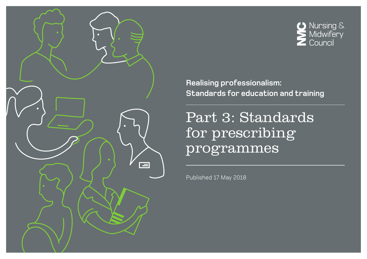



**Realising professionalism: Standards for education and training**

Part 3: Standards for prescribing programmes

Published 17 May 2018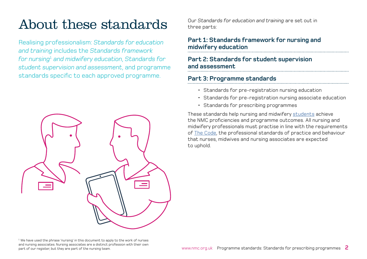## About these standards

Realising professionalism: *Standards for education and training* includes the *Standards framework for nursing*<sup>1</sup>  *and midwifery education*, *Standards for student supervision and assessment*, and programme standards specific to each approved programme.



Our *Standards for education and training* are set out in three parts:

### **[Part 1: Standards framework for nursing and](http://www.nmc.org.uk/Education-framework)  [midwifery education](http://www.nmc.org.uk/Education-framework)**

### **[Part 2: Standards for student supervision](http://www.nmc.org.uk/Student-supervision-assessment)  [and assessment](http://www.nmc.org.uk/Student-supervision-assessment)**

### **Part 3: Programme standards**

- [Standards for pre-registration nursing education](http://www.nmc.org.uk/Programme-standards-nursing)
- Standards for pre-registration nursing associate education
- [Standards for prescribing programmes](http://www.nmc.org.uk/Programme-standards-prescribing)

These standards help nursing and midwifery [students](#page-13-0) achieve the NMC proficiencies and programme outcomes. All nursing and midwifery professionals must practise in line with the requirements of T[he Code,](https://www.nmc.org.uk/standards/code/) the professional standards of practice and behaviour that nurses, midwives and nursing associates are expected to uphold.

 $^{\rm 1}$  We have used the phrase 'nursing' in this document to apply to the work of nurses and nursing associates. Nursing associates are a distinct profession with their own part of our register, but they are part of the nursing team.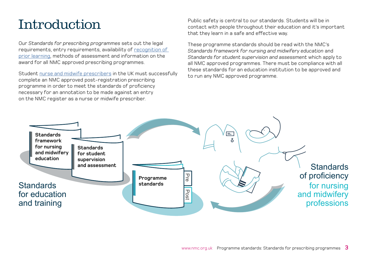## Introduction

Our *Standards for prescribing programmes* sets out the legal requirements, entry requirements, availability of [recognition of](#page-13-0)  [prior learning](#page-13-0), methods of assessment and information on the award for all NMC approved prescribing programmes.

Student [nurse and midwife prescribers](#page-13-0) in the UK must successfully complete an NMC approved post-registration prescribing programme in order to meet the standards of proficiency necessary for an annotation to be made against an entry on the NMC register as a nurse or midwife prescriber.

Public safety is central to our standards. Students will be in contact with people throughout their education and it's important that they learn in a safe and effective way.

These programme standards should be read with the NMC's *Standards framework for nursing and midwifery education* and *Standards for student supervision and assessment* which apply to all NMC approved programmes. There must be compliance with all these standards for an education institution to be approved and to run any NMC approved programme.

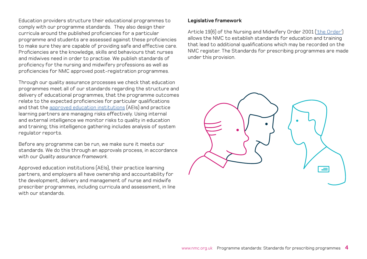Education providers structure their educational programmes to comply with our programme standards. They also design their curricula around the published proficiencies for a particular programme and students are assessed against these proficiencies to make sure they are capable of providing safe and effective care. Proficiencies are the knowledge, skills and behaviours that nurses and midwives need in order to practise. We publish standards of proficiency for the nursing and midwifery professions as well as proficiencies for NMC approved post-registration programmes.

Through our quality assurance processes we check that education programmes meet all of our standards regarding the structure and delivery of educational programmes, that the programme outcomes relate to the expected proficiencies for particular qualifications and that the [approved education institutions](#page-13-0) (AEIs) and practice learning partners are managing risks effectively. Using internal and external intelligence we monitor risks to quality in education and training; this intelligence gathering includes analysis of system regulator reports.

Before any programme can be run, we make sure it meets our standards. We do this through an approvals process, in accordance with our *Quality assurance framework*.

Approved education institutions (AEIs), their practice learning partners, and employers all have ownership and accountability for the development, delivery and management of nurse and midwife prescriber programmes, including curricula and assessment, in line with our standards.

#### **Legislative framework**

Article 19(6) of the [Nursing and Midwifery Order 2001 \('the Order'](https://www.nmc.org.uk/globalassets/sitedocuments/legislation/the-nursing-and-midwifery-order-2001-consolidated-text.pdf)) allows the NMC to establish standards for education and training that lead to additional qualifications which may be recorded on the NMC register. The Standards for prescribing programmes are made under this provision.

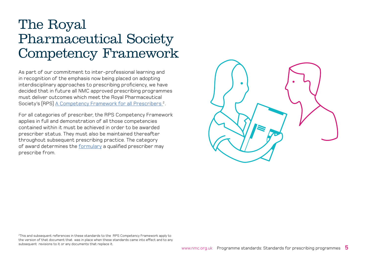## The Royal Pharmaceutical Society Competency Framework

As part of our commitment to inter-professional learning and in recognition of the emphasis now being placed on adopting interdisciplinary approaches to prescribing proficiency, we have decided that in future all NMC approved prescribing programmes must deliver outcomes which meet the Royal Pharmaceutical Society's (RPS) [A Competency Framework for all Prescribers](https://www.rpharms.com/resources/frameworks/prescribers-competency-framework) 2.

For all categories of prescriber, the RPS Competency Framework applies in full and demonstration of all those competencies contained within it must be achieved in order to be awarded prescriber status. They must also be maintained thereafter throughout subsequent prescribing practice. The category of award determines the [formulary](#page-13-0) a qualified prescriber may prescribe from.



 $^2$ This and subsequent references in these standards to the RPS Competency Framework apply to the version of that document that was in place when these standards came into effect and to any subsequent revisions to it or any documents that replace it.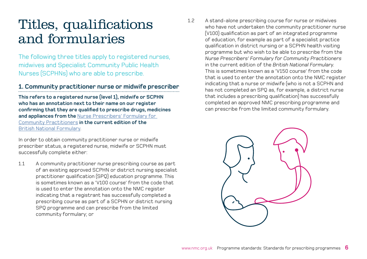## Titles, qualifications and formularies

The following three titles apply to registered nurses, midwives and Specialist Community Public Health Nurses (SCPHNs) who are able to prescribe.

#### **1. Community practitioner nurse or midwife prescriber**

**This refers to a registered nurse (level 1), midwife or SCPHN who has an annotation next to their name on our register confirming that they are qualified to prescribe drugs, medicines and appliances from the** [Nurse Prescribers' Formulary for](https://bnf.nice.org.uk/nurse-prescribers-formulary/)  [Community Practitioners](https://bnf.nice.org.uk/nurse-prescribers-formulary/) **in the current edition of the**  [British National Formulary](https://bnf.nice.org.uk/).

In order to obtain community practitioner nurse or midwife prescriber status, a registered nurse, midwife or SCPHN must successfully complete either:

1.1 A community practitioner nurse prescribing course as part of an existing approved SCPHN or district nursing specialist practitioner qualification (SPQ) education programme. This is sometimes known as a 'V100 course' from the code that is used to enter the annotation onto the NMC register indicating that a registrant has successfully completed a prescribing course as part of a SCPHN or district nursing SPQ programme and can prescribe from the limited community formulary; or

1.2 A stand-alone prescribing course for nurse or midwives who have not undertaken the community practitioner nurse (V100) qualification as part of an integrated programme of education, for example as part of a specialist practice qualification in district nursing or a SCPHN health visiting programme but who wish to be able to prescribe from the *Nurse Prescribers' Formulary for Community Practitioners* in the current edition of the *British National Formulary*. This is sometimes known as a 'V150 course' from the code that is used to enter the annotation onto the NMC register indicating that a nurse or midwife (who is not a SCPHN and has not completed an SPQ as, for example, a district nurse that includes a prescribing qualification) has successfully completed an approved NMC prescribing programme and can prescribe from the limited community formulary.

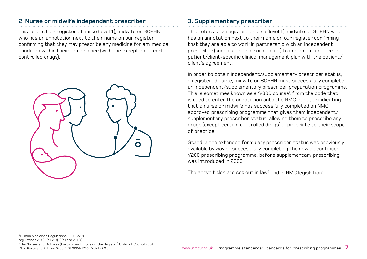### **2. Nurse or midwife independent prescriber**

This refers to a registered nurse (level 1), midwife or SCPHN who has an annotation next to their name on our register confirming that they may prescribe any medicine for any medical condition within their competence (with the exception of certain controlled drugs).



### **3. Supplementary prescriber**

This refers to a registered nurse (level 1), midwife or SCPHN who has an annotation next to their name on our register confirming that they are able to work in partnership with an independent prescriber (such as a doctor or dentist) to implement an agreed patient/client-specific clinical management plan with the patient/ client's agreement.

In order to obtain independent/supplementary prescriber status, a registered nurse, midwife or SCPHN must successfully complete an independent/supplementary prescriber preparation programme. This is sometimes known as a 'V300 course', from the code that is used to enter the annotation onto the NMC register indicating that a nurse or midwife has successfully completed an NMC approved prescribing programme that gives them independent/ supplementary prescriber status, allowing them to prescribe any drugs (except certain controlled drugs) appropriate to their scope of practice.

Stand-alone extended formulary prescriber status was previously available by way of successfully completing the now discontinued V200 prescribing programme, before supplementary prescribing was introduced in 2003.

The above titles are set out in law $3$  and in NMC legislation $4$ .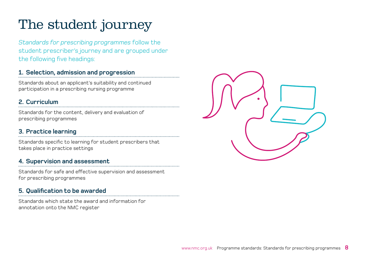# The student journey

*Standards for prescribing programmes* follow the student prescriber's journey and are grouped under the following five headings:

### **1. [Selection, admission and progression](#page-8-0)**

Standards about an applicant's suitability and continued participation in a prescribing nursing programme

### **2. [Curriculum](#page-9-0)**

Standards for the content, delivery and evaluation of prescribing programmes

### **3. [Practice learning](#page-10-0)**

Standards specific to learning for student prescribers that takes place in practice settings

### **4. [Supervision and assessment](#page-11-0)**

Standards for safe and effective supervision and assessment for prescribing programmes

### **5. [Qualification to be awarded](#page-12-0)**

Standards which state the award and information for annotation onto the NMC register

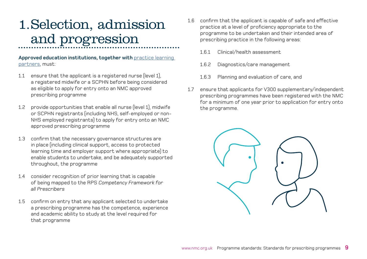# <span id="page-8-0"></span>1.Selection, admission and progression

#### **Approved education institutions, together with practice learning** [partners, must](#page-13-0):

- 1.1 ensure that the applicant is a registered nurse (level 1), a registered midwife or a SCPHN before being considered as eligible to apply for entry onto an NMC approved prescribing programme
- 1.2 provide opportunities that enable all nurse (level 1), midwife or SCPHN registrants (including NHS, self-employed or non-NHS employed registrants) to apply for entry onto an NMC approved prescribing programme
- 1.3 confirm that the necessary governance structures are in place (including clinical support, access to protected learning time and employer support where appropriate) to enable students to undertake, and be adequately supported throughout, the programme
- 1.4 consider recognition of prior learning that is capable of being mapped to the RPS *Competency Framework for all Prescribers*
- 1.5 confirm on entry that any applicant selected to undertake a prescribing programme has the competence, experience and academic ability to study at the level required for that programme
- 1.6 confirm that the applicant is capable of safe and effective practice at a level of proficiency appropriate to the programme to be undertaken and their intended area of prescribing practice in the following areas:
	- 1.6.1 Clinical/health assessment
	- 1.6.2 Diagnostics/care management
	- 1.6.3 Planning and evaluation of care, and
- 1.7 ensure that applicants for V300 supplementary/independent prescribing programmes have been registered with the NMC for a minimum of one year prior to application for entry onto the programme.

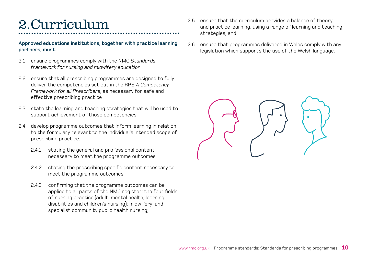## <span id="page-9-0"></span>2.Curriculum

**Approved educations institutions, together with practice learning partners, must:**

- 2.1 ensure programmes comply with the NMC *Standards framework for nursing and midwifery education*
- 2.2 ensure that all prescribing programmes are designed to fully deliver the competencies set out in the RPS *A Competency Framework for all Prescribers*, as necessary for safe and effective prescribing practice
- 2.3 state the learning and teaching strategies that will be used to support achievement of those competencies
- 2.4 develop programme outcomes that inform learning in relation to the formulary relevant to the individual's intended scope of prescribing practice:
	- 2.4.1 stating the general and professional content necessary to meet the programme outcomes
	- 2.4.2 stating the prescribing specific content necessary to meet the programme outcomes
	- 2.4.3 confirming that the programme outcomes can be applied to all parts of the NMC register: the four fields of nursing practice (adult, mental health, learning disabilities and children's nursing); midwifery; and specialist community public health nursing;
- 2.5 ensure that the curriculum provides a balance of theory and practice learning, using a range of learning and teaching strategies, and
- 2.6 ensure that programmes delivered in Wales comply with any legislation which supports the use of the Welsh language.

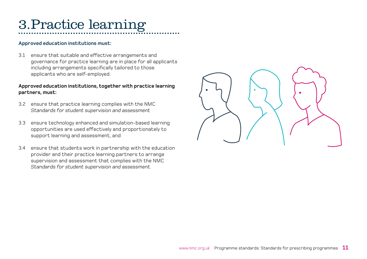# <span id="page-10-0"></span>3.Practice learning

#### **Approved education institutions must:**

3.1 ensure that suitable and effective arrangements and governance for practice learning are in place for all applicants including arrangements specifically tailored to those applicants who are self-employed.

#### **Approved education institutions, together with practice learning partners, must:**

- 3.2 ensure that practice learning complies with the NMC *Standards for student supervision and assessment*
- 3.3 ensure technology enhanced and simulation-based learning opportunities are used effectively and proportionately to support learning and assessment, and
- 3.4 ensure that students work in partnership with the education provider and their practice learning partners to arrange supervision and assessment that complies with the NMC *Standards for student supervision and assessment*.

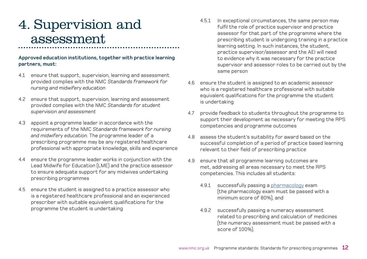## <span id="page-11-0"></span>4. Supervision and assessment

#### **Approved education institutions, together with practice learning partners, must:**

- 4.1 ensure that support, supervision, learning and assessment provided complies with the NMC *Standards framework for nursing and midwifery education*
- 4.2 ensure that support, supervision, learning and assessment provided complies with the NMC *Standards for student supervision and assessment*
- 4.3 appoint a programme leader in accordance with the requirements of the NMC *Standards framework for nursing and midwifery education*. The programme leader of a prescribing programme may be any registered healthcare professional with appropriate knowledge, skills and experience
- 4.4 ensure the programme leader works in conjunction with the Lead Midwife for Education (LME) and the practice assessor to ensure adequate support for any midwives undertaking prescribing programmes
- 4.5 ensure the student is assigned to a practice assessor who is a registered healthcare professional and an experienced prescriber with suitable equivalent qualifications for the programme the student is undertaking
- 4.5.1 In exceptional circumstances, the same person may fulfil the role of practice supervisor and practice assessor for that part of the programme where the prescribing student is undergoing training in a practice learning setting. In such instances, the student, practice supervisor/assessor and the AEI will need to evidence why it was necessary for the practice supervisor and assessor roles to be carried out by the same person
- 4.6 ensure the student is assigned to an academic assessor who is a registered healthcare professional with suitable equivalent qualifications for the programme the student is undertaking
- 4.7 provide feedback to students throughout the programme to support their development as necessary for meeting the RPS competencies and programme outcomes
- 4.8 assess the student's suitability for award based on the successful completion of a period of practice based learning relevant to their field of prescribing practice
- 4.9 ensure that all programme learning outcomes are met, addressing all areas necessary to meet the RPS competencies. This includes all students:
	- 4.9.1 successfully passing a [pharmacology](#page-13-0) exam (the pharmacology exam must be passed with a minimum score of 80%), and
	- 4.9.2 successfully passing a numeracy assessment related to prescribing and calculation of medicines (the numeracy assessment must be passed with a score of 100%).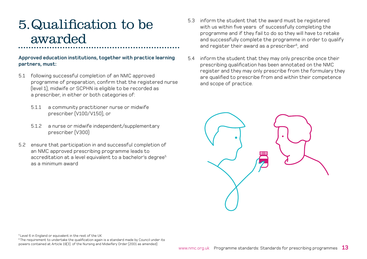## <span id="page-12-0"></span>5.Qualification to be awarded

#### **Approved education institutions, together with practice learning partners, must:**

- 5.1 following successful completion of an NMC approved programme of preparation, confirm that the registered nurse (level 1), midwife or SCPHN is eligible to be recorded as a prescriber, in either or both categories of:
	- 5.1.1 a community practitioner nurse or midwife prescriber (V100/V150), or
	- 5.1.2 a nurse or midwife independent/supplementary prescriber (V300)
- 5.2 ensure that participation in and successful completion of an NMC approved prescribing programme leads to accreditation at a level equivalent to a bachelor's degree<sup>5</sup> as a minimum award
- 5.3 inform the student that the award must be registered with us within five years of successfully completing the programme and if they fail to do so they will have to retake and successfully complete the programme in order to qualify and register their award as a prescriber<sup>6</sup>, and
- 5.4 inform the student that they may only prescribe once their prescribing qualification has been annotated on the NMC register and they may only prescribe from the formulary they are qualified to prescribe from and within their competence and scope of practice.



5 Level 6 in England or equivalent in the rest of the UK

<sup>6</sup> The requirement to undertake the qualification again is a standard made by Council under its powers contained at Article 19(3) of the Nursing and Midwifery Order (2001 as amended)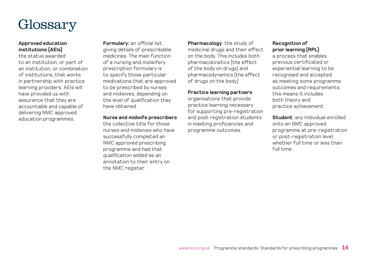<span id="page-13-0"></span>

#### **Approved education institutions (AEIs)**:

the status awarded to an institution, or part of an institution, or combination of institutions, that works in partnership with practice learning providers. AEIs will have provided us with assurance that they are accountable and capable of delivering NMC approved education programmes.

**Formulary:** an official list giving details of prescribable medicines. The main function of a nursing and midwifery prescription formulary is to specify those particular medications that are approved to be prescribed by nurses and midwives, depending on the level of qualification they have obtained.

#### **Nurse and midwife prescribers**:

the collective title for those nurses and midwives who have successfully completed an NMC approved prescribing programme and had that qualification added as an annotation to their entry on the NMC register.

**Pharmacology**: the study of medicinal drugs and their effect on the body. This includes both pharmacokinetics (the effect of the body on drugs) and pharmacodynamics (the effect of drugs on the body).

#### **Practice learning partners**:

organisations that provide practice learning necessary for supporting pre-registration and post registration students in meeting proficiencies and programme outcomes.

#### **Recognition of prior learning (RPL)**:

a process that enables previous certificated or experiential learning to be recognised and accepted as meeting some programme outcomes and requirements; this means it includes both theory and practice achievement.

**Student**: any individual enrolled onto an NMC approved programme at pre-registration or post-registration level, whether full time or less than full time.